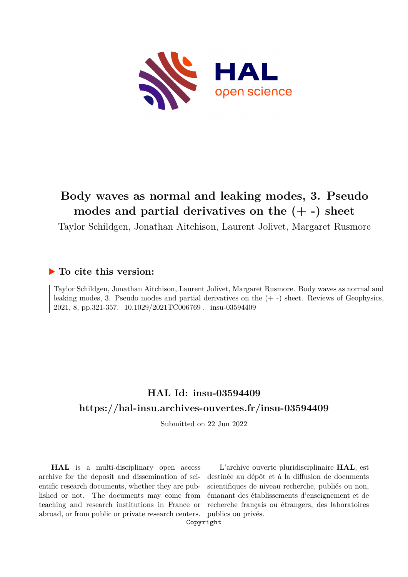

# **Body waves as normal and leaking modes, 3. Pseudo modes and partial derivatives on the (+ -) sheet**

Taylor Schildgen, Jonathan Aitchison, Laurent Jolivet, Margaret Rusmore

### **To cite this version:**

Taylor Schildgen, Jonathan Aitchison, Laurent Jolivet, Margaret Rusmore. Body waves as normal and leaking modes, 3. Pseudo modes and partial derivatives on the (+ -) sheet. Reviews of Geophysics, 2021, 8, pp.321-357. 10.1029/2021TC006769. insu-03594409

# **HAL Id: insu-03594409 <https://hal-insu.archives-ouvertes.fr/insu-03594409>**

Submitted on 22 Jun 2022

**HAL** is a multi-disciplinary open access archive for the deposit and dissemination of scientific research documents, whether they are published or not. The documents may come from teaching and research institutions in France or abroad, or from public or private research centers.

L'archive ouverte pluridisciplinaire **HAL**, est destinée au dépôt et à la diffusion de documents scientifiques de niveau recherche, publiés ou non, émanant des établissements d'enseignement et de recherche français ou étrangers, des laboratoires publics ou privés.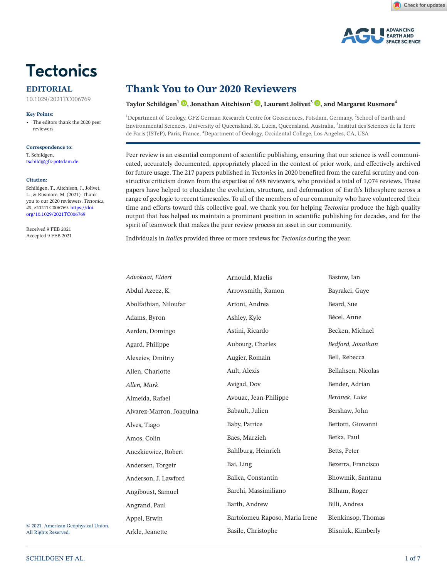

#### **EDITORIAL**

10.1029/2021TC006769

#### **Key Points:**

• The editors thank the 2020 peer reviewers

**Correspondence to:** T. Schildgen, tschild@gfz-potsdam.de

#### **Citation:**

Schildgen, T., Aitchison, J., Jolivet, L., & Rusmore, M. (2021). Thank you to our 2020 reviewers. *Tectonics*, *40*, e2021TC006769. [https://doi.](https://doi.org/10.1029/2021TC006769) [org/10.1029/2021TC006769](https://doi.org/10.1029/2021TC006769)

Received 9 FEB 2021 Accepted 9 FEB 2021

# **Thank You to Our 2020 Reviewers**

#### **Taylor Schildgen<sup>1</sup> [,](https://orcid.org/0000-0002-4236-4609) Jonathan Aitchison2 [,](https://orcid.org/0000-0002-3659-5849) Laurent Jolivet3 [,](https://orcid.org/0000-0002-2596-2017) and Margaret Rusmore4**

<sup>1</sup>Department of Geology, GFZ German Research Centre for Geosciences, Potsdam, Germany, <sup>2</sup>School of Earth and Environmental Sciences, University of Queensland, St. Lucia, Queensland, Australia, <sup>3</sup>Institut des Sciences de la Terre de Paris (ISTeP), Paris, France, <sup>4</sup>Department of Geology, Occidental College, Los Angeles, CA, USA

Peer review is an essential component of scientific publishing, ensuring that our science is well communicated, accurately documented, appropriately placed in the context of prior work, and effectively archived for future usage. The 217 papers published in *Tectonics* in 2020 benefited from the careful scrutiny and constructive criticism drawn from the expertise of 688 reviewers, who provided a total of 1,074 reviews. These papers have helped to elucidate the evolution, structure, and deformation of Earth's lithosphere across a range of geologic to recent timescales. To all of the members of our community who have volunteered their time and efforts toward this collective goal, we thank you for helping *Tectonics* produce the high quality output that has helped us maintain a prominent position in scientific publishing for decades, and for the spirit of teamwork that makes the peer review process an asset in our community.

Individuals in *italics* provided three or more reviews for *Tectonics* during the year.

| Advokaat, Eldert         | Arnould, Maelis                | Bastow, Ian        |
|--------------------------|--------------------------------|--------------------|
| Abdul Azeez, K.          | Arrowsmith, Ramon              | Bayrakci, Gaye     |
| Abolfathian, Niloufar    | Artoni, Andrea                 | Beard, Sue         |
| Adams, Byron             | Ashley, Kyle                   | Bécel, Anne        |
| Aerden, Domingo          | Astini, Ricardo                | Becken, Michael    |
| Agard, Philippe          | Aubourg, Charles               | Bedford, Jonathan  |
| Alexeiev, Dmitriy        | Augier, Romain                 | Bell, Rebecca      |
| Allen, Charlotte         | Ault, Alexis                   | Bellahsen, Nicolas |
| Allen, Mark              | Avigad, Dov                    | Bender, Adrian     |
| Almeida, Rafael          | Avouac, Jean-Philippe          | Beranek, Luke      |
| Alvarez-Marron, Joaquina | Babault, Julien                | Bershaw, John      |
| Alves, Tiago             | Baby, Patrice                  | Bertotti, Giovanni |
| Amos, Colin              | Baes, Marzieh                  | Betka, Paul        |
| Anczkiewicz, Robert      | Bahlburg, Heinrich             | Betts, Peter       |
| Andersen, Torgeir        | Bai, Ling                      | Bezerra, Francisco |
| Anderson, J. Lawford     | Balica, Constantin             | Bhowmik, Santanu   |
| Angiboust, Samuel        | Barchi, Massimiliano           | Bilham, Roger      |
| Angrand, Paul            | Barth, Andrew                  | Billi, Andrea      |
| Appel, Erwin             | Bartolomeu Raposo, Maria Irene | Blenkinsop, Thomas |
| Arkle, Jeanette          | Basile, Christophe             | Blisniuk, Kimberly |
|                          |                                |                    |

© 2021. American Geophysical Union. All Rights Reserved.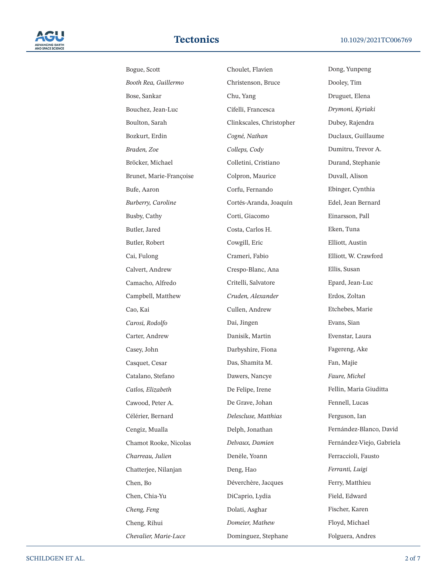

| Bogue, Scott            | C        |
|-------------------------|----------|
| Booth Rea, Guillermo    | C        |
| Bose, Sankar            | C        |
| Bouchez, Jean-Luc       | C        |
| Boulton, Sarah          | C        |
| Bozkurt, Erdin          | C        |
| Braden, Zoe             | C        |
| Bröcker, Michael        | C        |
| Brunet, Marie-Françoise | C        |
| Bufe, Aaron             | C        |
| Burberry, Caroline      | C        |
| Busby, Cathy            | C        |
| Butler, Jared           | C        |
| Butler, Robert          | C        |
| Cai, Fulong             | C        |
| Calvert, Andrew         | C        |
| Camacho, Alfredo        | C        |
| Campbell, Matthew       | C        |
| Cao, Kai                | C        |
| Carosi, Rodolfo         | Γ        |
| Carter, Andrew          | Γ        |
| Casey, John             | Γ        |
| Casquet, Cesar          | Ľ        |
| Catalano, Stefano       | Γ        |
| Catlos, Elizabeth       | $\Gamma$ |
| Cawood, Peter A.        | Г        |
| Célérier, Bernard       | L        |
| Cengiz, Mualla          | Г        |
| Chamot Rooke, Nicolas   | L        |
| Charreau, Julien        | Γ        |
| Chatterjee, Nilanjan    | Γ        |
| Chen, Bo                | Г        |
| Chen, Chia-Yu           | Г        |
| Cheng, Feng             | Г        |
| Cheng, Rihui            | L        |
| Chevalier, Marie-Luce   | Ľ        |

Choulet, Flavien Christenson, Bruce Chu, Yang Cifelli, Francesca Clinkscales, Christopher *Cogné, Nathan Colleps, Cody* Colletini, Cristiano Colpron, Maurice Corfu, Fernando Cortés-Aranda, Joaquín Corti, Giacomo Costa, Carlos H. Cowgill, Eric Crameri, Fabio Crespo-Blanc, Ana Critelli, Salvatore *Cruden, Alexander* Cullen, Andrew Dai, Jingen Danisik, Martin Darbyshire, Fiona Das, Shamita M. Dawers, Nancye De Felipe, Irene De Grave, Johan *Delescluse, Matthias* Delph, Jonathan *Delvaux, Damien* Denèle, Yoann Deng, Hao Déverchère, Jacques DiCaprio, Lydia Dolati, Asghar *Domeier, Mathew* Dominguez, Stephane

Dong, Yunpeng Dooley, Tim Druguet, Elena *Drymoni, Kyriaki* Dubey, Rajendra Duclaux, Guillaume Dumitru, Trevor A. Durand, Stephanie Duvall, Alison Ebinger, Cynthia Edel, Jean Bernard Einarsson, Pall Eken, Tuna Elliott, Austin Elliott, W. Crawford Ellis, Susan Epard, Jean-Luc Erdos, Zoltan Etchebes, Marie Evans, Sian Evenstar, Laura Fagereng, Ake Fan, Majie *Faure, Michel* Fellin, Maria Giuditta Fennell, Lucas Ferguson, Ian Fernández-Blanco, David Fernández-Viejo, Gabriela Ferraccioli, Fausto *Ferranti, Luigi* Ferry, Matthieu Field, Edward Fischer, Karen Floyd, Michael Folguera, Andres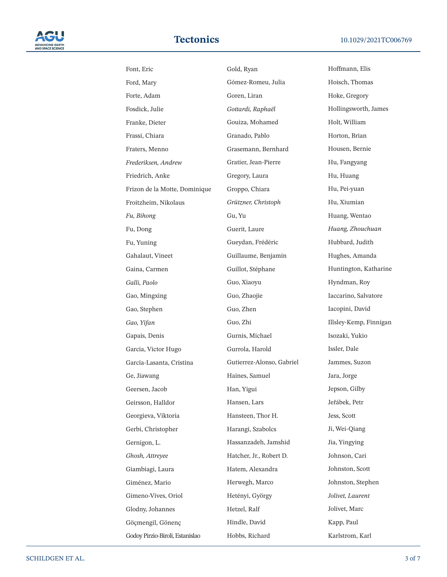

| Font, Eric                      | Gold, Ryan                | Hoffmann, Elis         |
|---------------------------------|---------------------------|------------------------|
| Ford, Mary                      | Gómez-Romeu, Julia        | Hoisch, Thomas         |
| Forte, Adam                     | Goren, Liran              | Hoke, Gregory          |
| Fosdick, Julie                  | Gottardi, Raphaël         | Hollingsworth, James   |
| Franke, Dieter                  | Gouiza, Mohamed           | Holt, William          |
| Frassi, Chiara                  | Granado, Pablo            | Horton, Brian          |
| Fraters, Menno                  | Grasemann, Bernhard       | Housen, Bernie         |
| Frederiksen, Andrew             | Gratier, Jean-Pierre      | Hu, Fangyang           |
| Friedrich, Anke                 | Gregory, Laura            | Hu, Huang              |
| Frizon de la Motte, Dominique   | Groppo, Chiara            | Hu, Pei-yuan           |
| Froitzheim, Nikolaus            | Grützner, Christoph       | Hu, Xiumian            |
| Fu, Bihong                      | Gu, Yu                    | Huang, Wentao          |
| Fu, Dong                        | Guerit, Laure             | Huang, Zhouchuan       |
| Fu, Yuning                      | Gueydan, Frédéric         | Hubbard, Judith        |
| Gahalaut, Vineet                | Guillaume, Benjamin       | Hughes, Amanda         |
| Gaina, Carmen                   | Guillot, Stéphane         | Huntington, Katharine  |
| Galli, Paolo                    | Guo, Xiaoyu               | Hyndman, Roy           |
| Gao, Mingxing                   | Guo, Zhaojie              | Iaccarino, Salvatore   |
| Gao, Stephen                    | Guo, Zhen                 | Iacopini, David        |
| Gao, Yifan                      | Guo, Zhi                  | Illsley-Kemp, Finnigan |
| Gapais, Denis                   | Gurnis, Michael           | Isozaki, Yukio         |
| Garcia, Victor Hugo             | Gurrola, Harold           | Issler, Dale           |
| García-Lasanta, Cristina        | Gutierrez-Alonso, Gabriel | Jammes, Suzon          |
| Ge, Jiawang                     | Haines, Samuel            | Jara, Jorge            |
| Geersen, Jacob                  | Han, Yigui                | Jepson, Gilby          |
| Geirsson, Halldor               | Hansen, Lars              | Jeřábek, Petr          |
| Georgieva, Viktoria             | Hansteen, Thor H.         | Jess, Scott            |
| Gerbi, Christopher              | Harangi, Szabolcs         | Ji, Wei-Qiang          |
| Gernigon, L.                    | Hassanzadeh, Jamshid      | Jia, Yingying          |
| Ghosh, Attreyee                 | Hatcher, Jr., Robert D.   | Johnson, Cari          |
| Giambiagi, Laura                | Hatem, Alexandra          | Johnston, Scott        |
| Giménez, Mario                  | Herwegh, Marco            | Johnston, Stephen      |
| Gimeno-Vives, Oriol             | Hetényi, György           | Jolivet, Laurent       |
| Glodny, Johannes                | Hetzel, Ralf              | Jolivet, Marc          |
| Göçmengil, Gönenç               | Hindle, David             | Kapp, Paul             |
| Godoy Pirzio-Biroli, Estanislao | Hobbs, Richard            | Karlstrom, Karl        |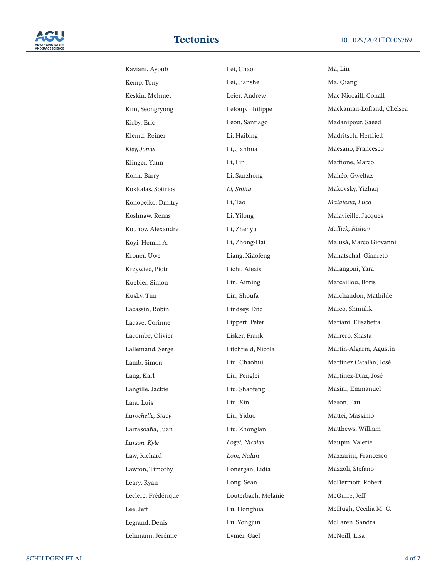

| Kaviani, Ayoub      | Lei, Chao           | Ma, Lin                   |
|---------------------|---------------------|---------------------------|
| Kemp, Tony          | Lei, Jianshe        | Ma, Qiang                 |
| Keskin, Mehmet      | Leier, Andrew       | Mac Niocaill, Conall      |
| Kim, Seongryong     | Leloup, Philippe    | Mackaman-Lofland, Chelsea |
| Kirby, Eric         | León, Santiago      | Madanipour, Saeed         |
| Klemd, Reiner       | Li, Haibing         | Madritsch, Herfried       |
| Kley, Jonas         | Li, Jianhua         | Maesano, Francesco        |
| Klinger, Yann       | Li, Lin             | Maffione, Marco           |
| Kohn, Barry         | Li, Sanzhong        | Mahéo, Gweltaz            |
| Kokkalas, Sotirios  | Li, Shihu           | Makovsky, Yizhaq          |
| Konopelko, Dmitry   | Li, Tao             | Malatesta, Luca           |
| Koshnaw, Renas      | Li, Yilong          | Malavieille, Jacques      |
| Kounov, Alexandre   | Li, Zhenyu          | Mallick, Rishav           |
| Koyi, Hemin A.      | Li, Zhong-Hai       | Malusà, Marco Giovanni    |
| Kroner, Uwe         | Liang, Xiaofeng     | Manatschal, Gianreto      |
| Krzywiec, Piotr     | Licht, Alexis       | Marangoni, Yara           |
| Kuebler, Simon      | Lin, Aiming         | Marcaillou, Boris         |
| Kusky, Tim          | Lin, Shoufa         | Marchandon, Mathilde      |
| Lacassin, Robin     | Lindsey, Eric       | Marco, Shmulik            |
| Lacave, Corinne     | Lippert, Peter      | Mariani, Elisabetta       |
| Lacombe, Olivier    | Lisker, Frank       | Marrero, Shasta           |
| Lallemand, Serge    | Litchfield, Nicola  | Martín-Algarra, Agustín   |
| Lamb, Simon         | Liu, Chaohui        | Martínez Catalán, José    |
| Lang, Karl          | Liu, Penglei        | Martínez-Díaz, José       |
| Langille, Jackie    | Liu, Shaofeng       | Masini, Emmanuel          |
| Lara, Luis          | Liu, Xin            | Mason, Paul               |
| Larochelle, Stacy   | Liu, Yiduo          | Mattei, Massimo           |
| Larrasoaña, Juan    | Liu, Zhonglan       | Matthews, William         |
| Larson, Kyle        | Loget, Nicolas      | Maupin, Valerie           |
| Law, Richard        | Lom, Nalan          | Mazzarini, Francesco      |
| Lawton, Timothy     | Lonergan, Lidia     | Mazzoli, Stefano          |
| Leary, Ryan         | Long, Sean          | McDermott, Robert         |
| Leclerc, Frédérique | Louterbach, Melanie | McGuire, Jeff             |
| Lee, Jeff           | Lu, Honghua         | McHugh, Cecilia M. G.     |
| Legrand, Denis      | Lu, Yongjun         | McLaren, Sandra           |
| Lehmann, Jérémie    | Lymer, Gael         | McNeill, Lisa             |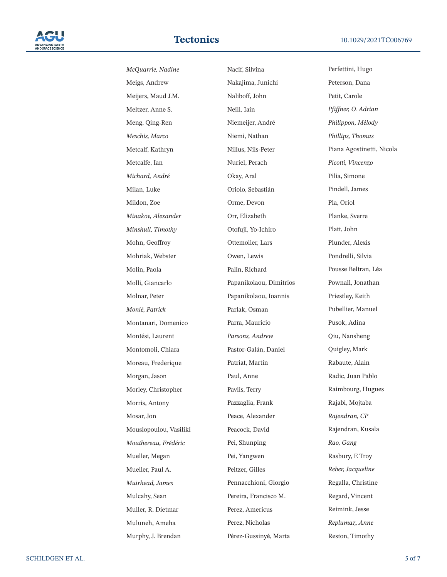

*McQuarrie, Nadine* Meigs, Andrew Meijers, Maud J.M. Meltzer, Anne S. Meng, Qing-Ren *Meschis, Marco* Metcalf, Kathryn Metcalfe, Ian *Michard, André* Milan, Luke Mildon, Zoe *Minakov, Alexander Minshull, Timothy* Mohn, Geoffroy Mohriak, Webster Molin, Paola Molli, Giancarlo Molnar, Peter *Monié, Patrick* Montanari, Domenico Montési, Laurent Montomoli, Chiara Moreau, Frederique Morgan, Jason Morley, Christopher Morris, Antony Mosar, Jon Mouslopoulou, Vasiliki *Mouthereau, Frédéric* Mueller, Megan Mueller, Paul A. *Muirhead, James* Mulcahy, Sean Muller, R. Dietmar Muluneh, Ameha Murphy, J. Brendan

Nacif, Silvina Nakajima, Junichi Naliboff, John Neill, Iain Niemeijer, André Niemi, Nathan Nilius, Nils-Peter Nuriel, Perach Okay, Aral Oriolo, Sebastián Orme, Devon Orr, Elizabeth Otofuji, Yo-Ichiro Ottemoller, Lars Owen, Lewis Palin, Richard Papanikolaou, Dimitrios Papanikolaou, Ioannis Parlak, Osman Parra, Mauricio *Parsons, Andrew* Pastor-Galán, Daniel Patriat, Martin Paul, Anne Pavlis, Terry Pazzaglia, Frank Peace, Alexander Peacock, David Pei, Shunping Pei, Yangwen Peltzer, Gilles Pennacchioni, Giorgio Pereira, Francisco M. Perez, Americus Perez, Nicholas Pérez-Gussinyé, Marta

Perfettini, Hugo Peterson, Dana Petit, Carole *Pfiffner, O. Adrian Philippon, Mélody Phillips, Thomas* Piana Agostinetti, Nicola *Picotti, Vincenzo* Pilia, Simone Pindell, James Pla, Oriol Planke, Sverre Platt, John Plunder, Alexis Pondrelli, Silvia Pousse Beltran, Léa Pownall, Jonathan Priestley, Keith Pubellier, Manuel Pusok, Adina Qiu, Nansheng Quigley, Mark Rabaute, Alain Radic, Juan Pablo Raimbourg, Hugues Rajabi, Mojtaba *Rajendran, CP* Rajendran, Kusala *Rao, Gang* Rasbury, E Troy *Reber, Jacqueline* Regalla, Christine Regard, Vincent Reimink, Jesse *Replumaz, Anne* Reston, Timothy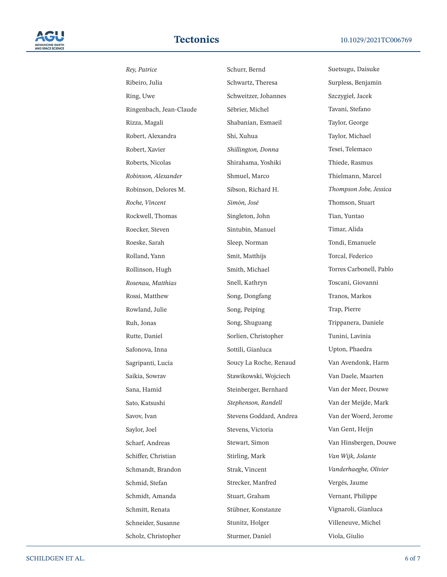

*Rey, Patrice* Ribeiro, Julia Ring, Uwe Ringenbach, Jean-Claude Rizza, Magali Robert, Alexandra Robert, Xavier Roberts, Nicolas *Robinson, Alexander* Robinson, Delores M. *Roche, Vincent* Rockwell, Thomas Roecker, Steven Roeske, Sarah Rolland, Yann Rollinson, Hugh *Rosenau, Matthias* Rossi, Matthew Rowland, Julie Ruh, Jonas Rutte, Daniel Safonova, Inna Sagripanti, Lucía Saikia, Sowrav Sana, Hamid Sato, Katsushi Savov, Ivan Saylor, Joel Scharf, Andreas Schiffer, Christian Schmandt, Brandon Schmid, Stefan Schmidt, Amanda Schmitt, Renata Schneider, Susanne Scholz, Christopher

Schurr, Bernd Schwartz, Theresa Schweitzer, Johannes Sébrier, Michel Shabanian, Esmaeil Shi, Xuhua *Shillington, Donna* Shirahama, Yoshiki Shmuel, Marco Sibson, Richard H. *Simón, José* Singleton, John Sintubin, Manuel Sleep, Norman Smit, Matthijs Smith, Michael Snell, Kathryn Song, Dongfang Song, Peiping Song, Shuguang Sorlien, Christopher Sottili, Gianluca Soucy La Roche, Renaud Stawikowski, Wojciech Steinberger, Bernhard *Stephenson, Randell* Stevens Goddard, Andrea Stevens, Victoria Stewart, Simon Stirling, Mark Strak, Vincent Strecker, Manfred Stuart, Graham Stübner, Konstanze Stunitz, Holger Sturmer, Daniel

Suetsugu, Daisuke Surpless, Benjamin Szczygieł, Jacek Tavani, Stefano Taylor, George Taylor, Michael Tesei, Telemaco Thiede, Rasmus Thielmann, Marcel *Thompson Jobe, Jessica* Thomson, Stuart Tian, Yuntao Timar, Alida Tondi, Emanuele Torcal, Federico Torres Carbonell, Pablo Toscani, Giovanni Tranos, Markos Trap, Pierre Trippanera, Daniele Tunini, Lavinia Upton, Phaedra Van Avendonk, Harm Van Daele, Maarten Van der Meer, Douwe Van der Meijde, Mark Van der Woerd, Jerome Van Gent, Heijn Van Hinsbergen, Douwe *Van Wijk, Jolante Vanderhaeghe, Olivier* Vergés, Jaume Vernant, Philippe Vignaroli, Gianluca Villeneuve, Michel Viola, Giulio